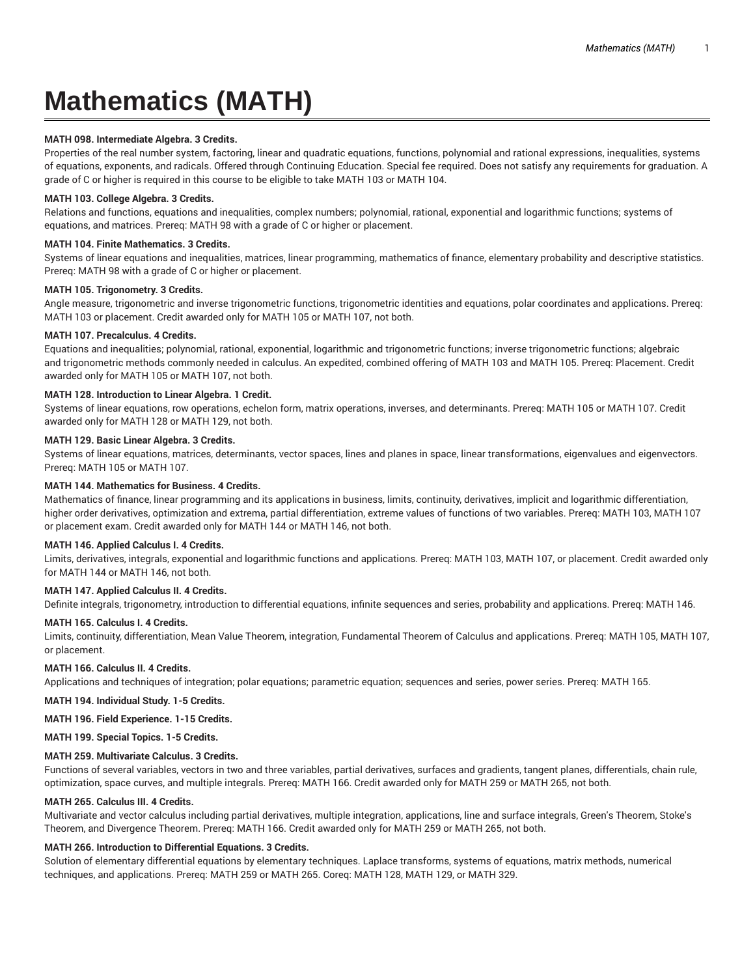# **Mathematics (MATH)**

# **MATH 098. Intermediate Algebra. 3 Credits.**

Properties of the real number system, factoring, linear and quadratic equations, functions, polynomial and rational expressions, inequalities, systems of equations, exponents, and radicals. Offered through Continuing Education. Special fee required. Does not satisfy any requirements for graduation. A grade of C or higher is required in this course to be eligible to take MATH 103 or MATH 104.

# **MATH 103. College Algebra. 3 Credits.**

Relations and functions, equations and inequalities, complex numbers; polynomial, rational, exponential and logarithmic functions; systems of equations, and matrices. Prereq: MATH 98 with a grade of C or higher or placement.

# **MATH 104. Finite Mathematics. 3 Credits.**

Systems of linear equations and inequalities, matrices, linear programming, mathematics of finance, elementary probability and descriptive statistics. Prereq: MATH 98 with a grade of C or higher or placement.

# **MATH 105. Trigonometry. 3 Credits.**

Angle measure, trigonometric and inverse trigonometric functions, trigonometric identities and equations, polar coordinates and applications. Prereq: MATH 103 or placement. Credit awarded only for MATH 105 or MATH 107, not both.

# **MATH 107. Precalculus. 4 Credits.**

Equations and inequalities; polynomial, rational, exponential, logarithmic and trigonometric functions; inverse trigonometric functions; algebraic and trigonometric methods commonly needed in calculus. An expedited, combined offering of MATH 103 and MATH 105. Prereq: Placement. Credit awarded only for MATH 105 or MATH 107, not both.

# **MATH 128. Introduction to Linear Algebra. 1 Credit.**

Systems of linear equations, row operations, echelon form, matrix operations, inverses, and determinants. Prereq: MATH 105 or MATH 107. Credit awarded only for MATH 128 or MATH 129, not both.

# **MATH 129. Basic Linear Algebra. 3 Credits.**

Systems of linear equations, matrices, determinants, vector spaces, lines and planes in space, linear transformations, eigenvalues and eigenvectors. Prereq: MATH 105 or MATH 107.

# **MATH 144. Mathematics for Business. 4 Credits.**

Mathematics of finance, linear programming and its applications in business, limits, continuity, derivatives, implicit and logarithmic differentiation, higher order derivatives, optimization and extrema, partial differentiation, extreme values of functions of two variables. Prereq: MATH 103, MATH 107 or placement exam. Credit awarded only for MATH 144 or MATH 146, not both.

# **MATH 146. Applied Calculus I. 4 Credits.**

Limits, derivatives, integrals, exponential and logarithmic functions and applications. Prereq: MATH 103, MATH 107, or placement. Credit awarded only for MATH 144 or MATH 146, not both.

# **MATH 147. Applied Calculus II. 4 Credits.**

Definite integrals, trigonometry, introduction to differential equations, infinite sequences and series, probability and applications. Prereq: MATH 146.

# **MATH 165. Calculus I. 4 Credits.**

Limits, continuity, differentiation, Mean Value Theorem, integration, Fundamental Theorem of Calculus and applications. Prereq: MATH 105, MATH 107, or placement.

# **MATH 166. Calculus II. 4 Credits.**

Applications and techniques of integration; polar equations; parametric equation; sequences and series, power series. Prereq: MATH 165.

**MATH 194. Individual Study. 1-5 Credits.**

**MATH 196. Field Experience. 1-15 Credits.**

**MATH 199. Special Topics. 1-5 Credits.**

# **MATH 259. Multivariate Calculus. 3 Credits.**

Functions of several variables, vectors in two and three variables, partial derivatives, surfaces and gradients, tangent planes, differentials, chain rule, optimization, space curves, and multiple integrals. Prereq: MATH 166. Credit awarded only for MATH 259 or MATH 265, not both.

# **MATH 265. Calculus III. 4 Credits.**

Multivariate and vector calculus including partial derivatives, multiple integration, applications, line and surface integrals, Green's Theorem, Stoke's Theorem, and Divergence Theorem. Prereq: MATH 166. Credit awarded only for MATH 259 or MATH 265, not both.

# **MATH 266. Introduction to Differential Equations. 3 Credits.**

Solution of elementary differential equations by elementary techniques. Laplace transforms, systems of equations, matrix methods, numerical techniques, and applications. Prereq: MATH 259 or MATH 265. Coreq: MATH 128, MATH 129, or MATH 329.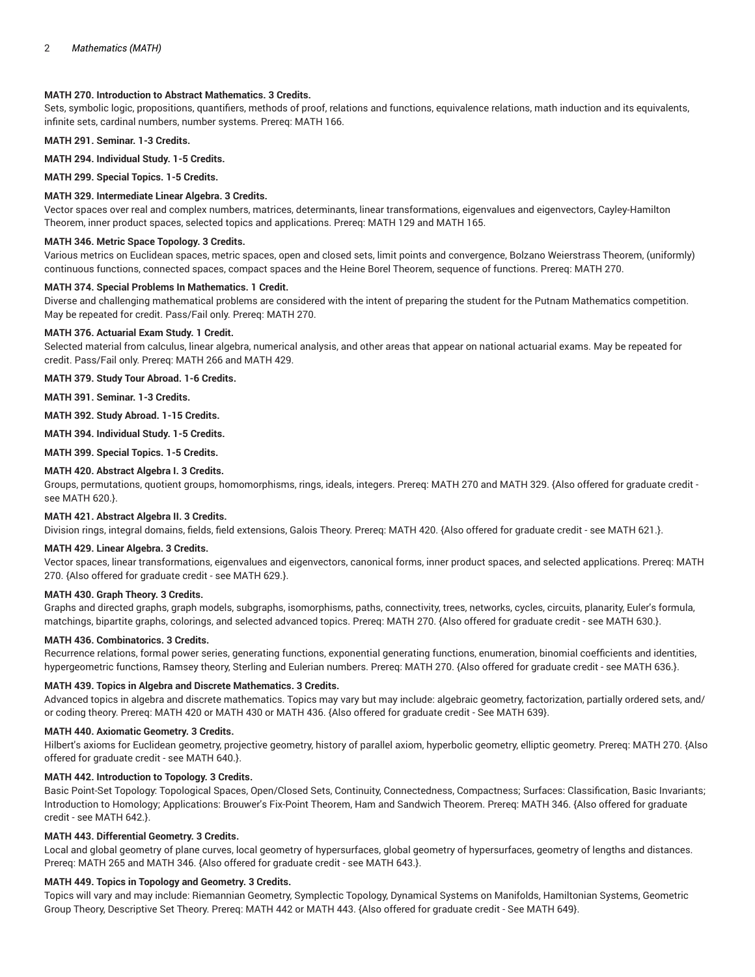# **MATH 270. Introduction to Abstract Mathematics. 3 Credits.**

Sets, symbolic logic, propositions, quantifiers, methods of proof, relations and functions, equivalence relations, math induction and its equivalents, infinite sets, cardinal numbers, number systems. Prereq: MATH 166.

**MATH 291. Seminar. 1-3 Credits.**

**MATH 294. Individual Study. 1-5 Credits.**

**MATH 299. Special Topics. 1-5 Credits.**

# **MATH 329. Intermediate Linear Algebra. 3 Credits.**

Vector spaces over real and complex numbers, matrices, determinants, linear transformations, eigenvalues and eigenvectors, Cayley-Hamilton Theorem, inner product spaces, selected topics and applications. Prereq: MATH 129 and MATH 165.

# **MATH 346. Metric Space Topology. 3 Credits.**

Various metrics on Euclidean spaces, metric spaces, open and closed sets, limit points and convergence, Bolzano Weierstrass Theorem, (uniformly) continuous functions, connected spaces, compact spaces and the Heine Borel Theorem, sequence of functions. Prereq: MATH 270.

#### **MATH 374. Special Problems In Mathematics. 1 Credit.**

Diverse and challenging mathematical problems are considered with the intent of preparing the student for the Putnam Mathematics competition. May be repeated for credit. Pass/Fail only. Prereq: MATH 270.

#### **MATH 376. Actuarial Exam Study. 1 Credit.**

Selected material from calculus, linear algebra, numerical analysis, and other areas that appear on national actuarial exams. May be repeated for credit. Pass/Fail only. Prereq: MATH 266 and MATH 429.

**MATH 379. Study Tour Abroad. 1-6 Credits.**

**MATH 391. Seminar. 1-3 Credits.**

**MATH 392. Study Abroad. 1-15 Credits.**

**MATH 394. Individual Study. 1-5 Credits.**

**MATH 399. Special Topics. 1-5 Credits.**

#### **MATH 420. Abstract Algebra I. 3 Credits.**

Groups, permutations, quotient groups, homomorphisms, rings, ideals, integers. Prereq: MATH 270 and MATH 329. {Also offered for graduate credit see MATH 620.}.

## **MATH 421. Abstract Algebra II. 3 Credits.**

Division rings, integral domains, fields, field extensions, Galois Theory. Prereq: MATH 420. {Also offered for graduate credit - see MATH 621.}.

#### **MATH 429. Linear Algebra. 3 Credits.**

Vector spaces, linear transformations, eigenvalues and eigenvectors, canonical forms, inner product spaces, and selected applications. Prereq: MATH 270. {Also offered for graduate credit - see MATH 629.}.

#### **MATH 430. Graph Theory. 3 Credits.**

Graphs and directed graphs, graph models, subgraphs, isomorphisms, paths, connectivity, trees, networks, cycles, circuits, planarity, Euler's formula, matchings, bipartite graphs, colorings, and selected advanced topics. Prereq: MATH 270. {Also offered for graduate credit - see MATH 630.}.

#### **MATH 436. Combinatorics. 3 Credits.**

Recurrence relations, formal power series, generating functions, exponential generating functions, enumeration, binomial coefficients and identities, hypergeometric functions, Ramsey theory, Sterling and Eulerian numbers. Prereq: MATH 270. {Also offered for graduate credit - see MATH 636.}.

#### **MATH 439. Topics in Algebra and Discrete Mathematics. 3 Credits.**

Advanced topics in algebra and discrete mathematics. Topics may vary but may include: algebraic geometry, factorization, partially ordered sets, and/ or coding theory. Prereq: MATH 420 or MATH 430 or MATH 436. {Also offered for graduate credit - See MATH 639}.

#### **MATH 440. Axiomatic Geometry. 3 Credits.**

Hilbert's axioms for Euclidean geometry, projective geometry, history of parallel axiom, hyperbolic geometry, elliptic geometry. Prereq: MATH 270. {Also offered for graduate credit - see MATH 640.}.

# **MATH 442. Introduction to Topology. 3 Credits.**

Basic Point-Set Topology: Topological Spaces, Open/Closed Sets, Continuity, Connectedness, Compactness; Surfaces: Classification, Basic Invariants; Introduction to Homology; Applications: Brouwer's Fix-Point Theorem, Ham and Sandwich Theorem. Prereq: MATH 346. {Also offered for graduate credit - see MATH 642.}.

# **MATH 443. Differential Geometry. 3 Credits.**

Local and global geometry of plane curves, local geometry of hypersurfaces, global geometry of hypersurfaces, geometry of lengths and distances. Prereq: MATH 265 and MATH 346. {Also offered for graduate credit - see MATH 643.}.

# **MATH 449. Topics in Topology and Geometry. 3 Credits.**

Topics will vary and may include: Riemannian Geometry, Symplectic Topology, Dynamical Systems on Manifolds, Hamiltonian Systems, Geometric Group Theory, Descriptive Set Theory. Prereq: MATH 442 or MATH 443. {Also offered for graduate credit - See MATH 649}.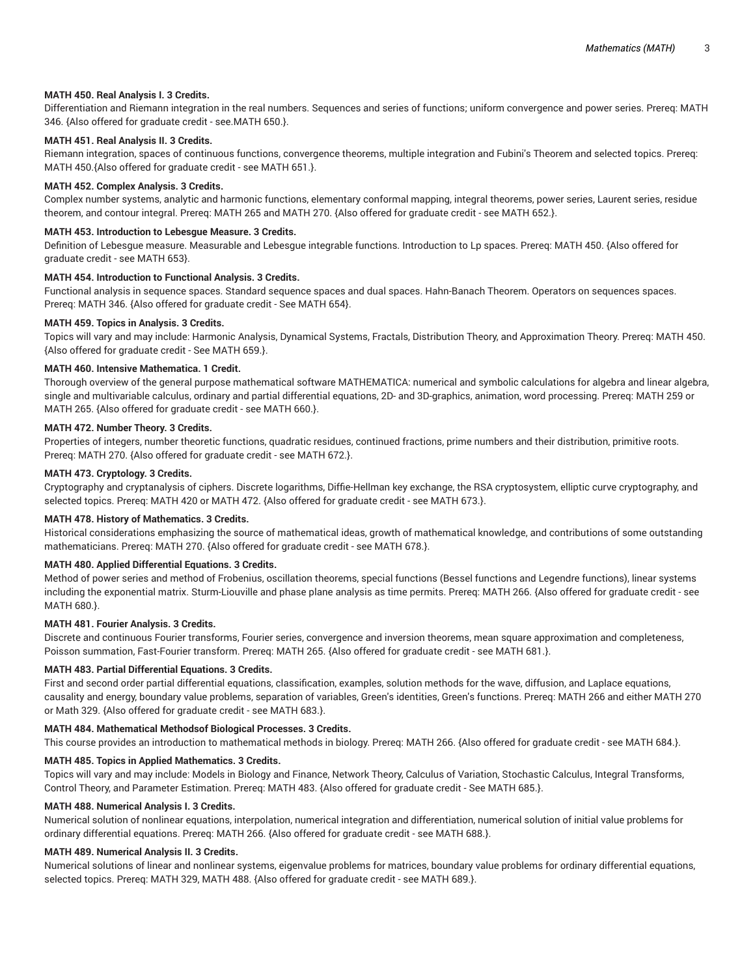# **MATH 450. Real Analysis I. 3 Credits.**

Differentiation and Riemann integration in the real numbers. Sequences and series of functions; uniform convergence and power series. Prereq: MATH 346. {Also offered for graduate credit - see.MATH 650.}.

# **MATH 451. Real Analysis II. 3 Credits.**

Riemann integration, spaces of continuous functions, convergence theorems, multiple integration and Fubini's Theorem and selected topics. Prereq: MATH 450.{Also offered for graduate credit - see MATH 651.}.

## **MATH 452. Complex Analysis. 3 Credits.**

Complex number systems, analytic and harmonic functions, elementary conformal mapping, integral theorems, power series, Laurent series, residue theorem, and contour integral. Prereq: MATH 265 and MATH 270. {Also offered for graduate credit - see MATH 652.}.

# **MATH 453. Introduction to Lebesgue Measure. 3 Credits.**

Definition of Lebesgue measure. Measurable and Lebesgue integrable functions. Introduction to Lp spaces. Prereq: MATH 450. {Also offered for graduate credit - see MATH 653}.

# **MATH 454. Introduction to Functional Analysis. 3 Credits.**

Functional analysis in sequence spaces. Standard sequence spaces and dual spaces. Hahn-Banach Theorem. Operators on sequences spaces. Prereq: MATH 346. {Also offered for graduate credit - See MATH 654}.

## **MATH 459. Topics in Analysis. 3 Credits.**

Topics will vary and may include: Harmonic Analysis, Dynamical Systems, Fractals, Distribution Theory, and Approximation Theory. Prereq: MATH 450. {Also offered for graduate credit - See MATH 659.}.

## **MATH 460. Intensive Mathematica. 1 Credit.**

Thorough overview of the general purpose mathematical software MATHEMATICA: numerical and symbolic calculations for algebra and linear algebra, single and multivariable calculus, ordinary and partial differential equations, 2D- and 3D-graphics, animation, word processing. Prereq: MATH 259 or MATH 265. {Also offered for graduate credit - see MATH 660.}.

# **MATH 472. Number Theory. 3 Credits.**

Properties of integers, number theoretic functions, quadratic residues, continued fractions, prime numbers and their distribution, primitive roots. Prereq: MATH 270. {Also offered for graduate credit - see MATH 672.}.

#### **MATH 473. Cryptology. 3 Credits.**

Cryptography and cryptanalysis of ciphers. Discrete logarithms, Diffie-Hellman key exchange, the RSA cryptosystem, elliptic curve cryptography, and selected topics. Prereq: MATH 420 or MATH 472. {Also offered for graduate credit - see MATH 673.}.

#### **MATH 478. History of Mathematics. 3 Credits.**

Historical considerations emphasizing the source of mathematical ideas, growth of mathematical knowledge, and contributions of some outstanding mathematicians. Prereq: MATH 270. {Also offered for graduate credit - see MATH 678.}.

#### **MATH 480. Applied Differential Equations. 3 Credits.**

Method of power series and method of Frobenius, oscillation theorems, special functions (Bessel functions and Legendre functions), linear systems including the exponential matrix. Sturm-Liouville and phase plane analysis as time permits. Prereq: MATH 266. {Also offered for graduate credit - see MATH 680.}.

#### **MATH 481. Fourier Analysis. 3 Credits.**

Discrete and continuous Fourier transforms, Fourier series, convergence and inversion theorems, mean square approximation and completeness, Poisson summation, Fast-Fourier transform. Prereq: MATH 265. {Also offered for graduate credit - see MATH 681.}.

#### **MATH 483. Partial Differential Equations. 3 Credits.**

First and second order partial differential equations, classification, examples, solution methods for the wave, diffusion, and Laplace equations, causality and energy, boundary value problems, separation of variables, Green's identities, Green's functions. Prereq: MATH 266 and either MATH 270 or Math 329. {Also offered for graduate credit - see MATH 683.}.

## **MATH 484. Mathematical Methodsof Biological Processes. 3 Credits.**

This course provides an introduction to mathematical methods in biology. Prereq: MATH 266. {Also offered for graduate credit - see MATH 684.}.

## **MATH 485. Topics in Applied Mathematics. 3 Credits.**

Topics will vary and may include: Models in Biology and Finance, Network Theory, Calculus of Variation, Stochastic Calculus, Integral Transforms, Control Theory, and Parameter Estimation. Prereq: MATH 483. {Also offered for graduate credit - See MATH 685.}.

## **MATH 488. Numerical Analysis I. 3 Credits.**

Numerical solution of nonlinear equations, interpolation, numerical integration and differentiation, numerical solution of initial value problems for ordinary differential equations. Prereq: MATH 266. {Also offered for graduate credit - see MATH 688.}.

#### **MATH 489. Numerical Analysis II. 3 Credits.**

Numerical solutions of linear and nonlinear systems, eigenvalue problems for matrices, boundary value problems for ordinary differential equations, selected topics. Prereq: MATH 329, MATH 488. {Also offered for graduate credit - see MATH 689.}.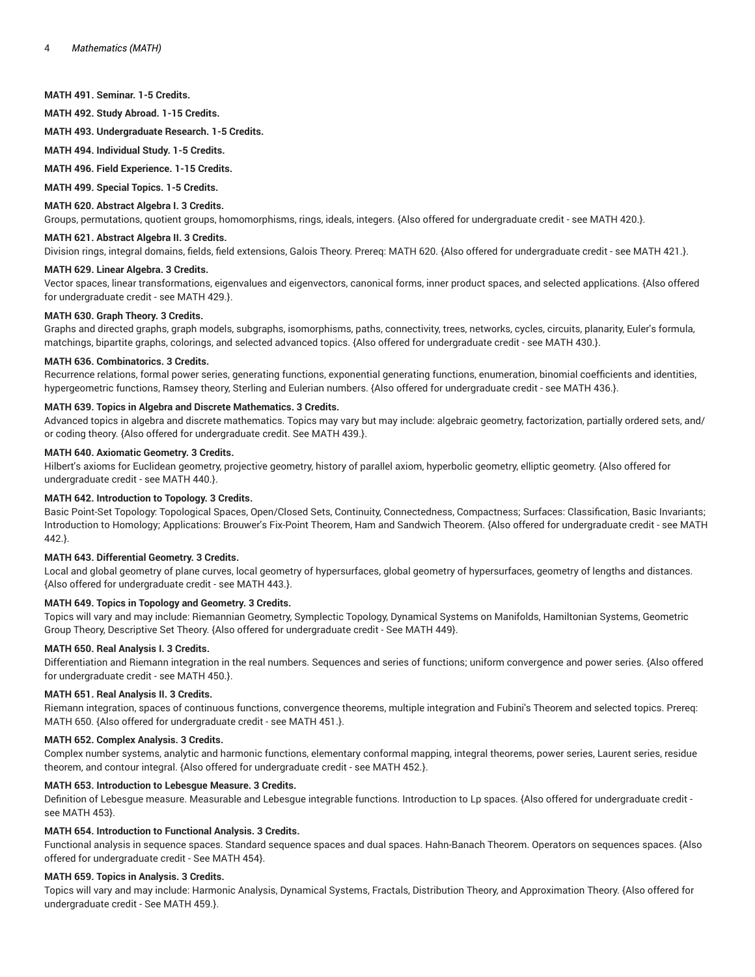#### **MATH 491. Seminar. 1-5 Credits.**

**MATH 492. Study Abroad. 1-15 Credits.**

**MATH 493. Undergraduate Research. 1-5 Credits.**

**MATH 494. Individual Study. 1-5 Credits.**

**MATH 496. Field Experience. 1-15 Credits.**

**MATH 499. Special Topics. 1-5 Credits.**

# **MATH 620. Abstract Algebra I. 3 Credits.**

Groups, permutations, quotient groups, homomorphisms, rings, ideals, integers. {Also offered for undergraduate credit - see MATH 420.}.

# **MATH 621. Abstract Algebra II. 3 Credits.**

Division rings, integral domains, fields, field extensions, Galois Theory. Prereq: MATH 620. {Also offered for undergraduate credit - see MATH 421.}.

#### **MATH 629. Linear Algebra. 3 Credits.**

Vector spaces, linear transformations, eigenvalues and eigenvectors, canonical forms, inner product spaces, and selected applications. {Also offered for undergraduate credit - see MATH 429.}.

#### **MATH 630. Graph Theory. 3 Credits.**

Graphs and directed graphs, graph models, subgraphs, isomorphisms, paths, connectivity, trees, networks, cycles, circuits, planarity, Euler's formula, matchings, bipartite graphs, colorings, and selected advanced topics. {Also offered for undergraduate credit - see MATH 430.}.

#### **MATH 636. Combinatorics. 3 Credits.**

Recurrence relations, formal power series, generating functions, exponential generating functions, enumeration, binomial coefficients and identities, hypergeometric functions, Ramsey theory, Sterling and Eulerian numbers. {Also offered for undergraduate credit - see MATH 436.}.

# **MATH 639. Topics in Algebra and Discrete Mathematics. 3 Credits.**

Advanced topics in algebra and discrete mathematics. Topics may vary but may include: algebraic geometry, factorization, partially ordered sets, and/ or coding theory. {Also offered for undergraduate credit. See MATH 439.}.

#### **MATH 640. Axiomatic Geometry. 3 Credits.**

Hilbert's axioms for Euclidean geometry, projective geometry, history of parallel axiom, hyperbolic geometry, elliptic geometry. {Also offered for undergraduate credit - see MATH 440.}.

## **MATH 642. Introduction to Topology. 3 Credits.**

Basic Point-Set Topology: Topological Spaces, Open/Closed Sets, Continuity, Connectedness, Compactness; Surfaces: Classification, Basic Invariants; Introduction to Homology; Applications: Brouwer's Fix-Point Theorem, Ham and Sandwich Theorem. {Also offered for undergraduate credit - see MATH 442.}.

# **MATH 643. Differential Geometry. 3 Credits.**

Local and global geometry of plane curves, local geometry of hypersurfaces, global geometry of hypersurfaces, geometry of lengths and distances. {Also offered for undergraduate credit - see MATH 443.}.

# **MATH 649. Topics in Topology and Geometry. 3 Credits.**

Topics will vary and may include: Riemannian Geometry, Symplectic Topology, Dynamical Systems on Manifolds, Hamiltonian Systems, Geometric Group Theory, Descriptive Set Theory. {Also offered for undergraduate credit - See MATH 449}.

#### **MATH 650. Real Analysis I. 3 Credits.**

Differentiation and Riemann integration in the real numbers. Sequences and series of functions; uniform convergence and power series. {Also offered for undergraduate credit - see MATH 450.}.

#### **MATH 651. Real Analysis II. 3 Credits.**

Riemann integration, spaces of continuous functions, convergence theorems, multiple integration and Fubini's Theorem and selected topics. Prereq: MATH 650. {Also offered for undergraduate credit - see MATH 451.}.

#### **MATH 652. Complex Analysis. 3 Credits.**

Complex number systems, analytic and harmonic functions, elementary conformal mapping, integral theorems, power series, Laurent series, residue theorem, and contour integral. {Also offered for undergraduate credit - see MATH 452.}.

# **MATH 653. Introduction to Lebesgue Measure. 3 Credits.**

Definition of Lebesgue measure. Measurable and Lebesgue integrable functions. Introduction to Lp spaces. {Also offered for undergraduate credit see MATH 453}.

#### **MATH 654. Introduction to Functional Analysis. 3 Credits.**

Functional analysis in sequence spaces. Standard sequence spaces and dual spaces. Hahn-Banach Theorem. Operators on sequences spaces. {Also offered for undergraduate credit - See MATH 454}.

#### **MATH 659. Topics in Analysis. 3 Credits.**

Topics will vary and may include: Harmonic Analysis, Dynamical Systems, Fractals, Distribution Theory, and Approximation Theory. {Also offered for undergraduate credit - See MATH 459.}.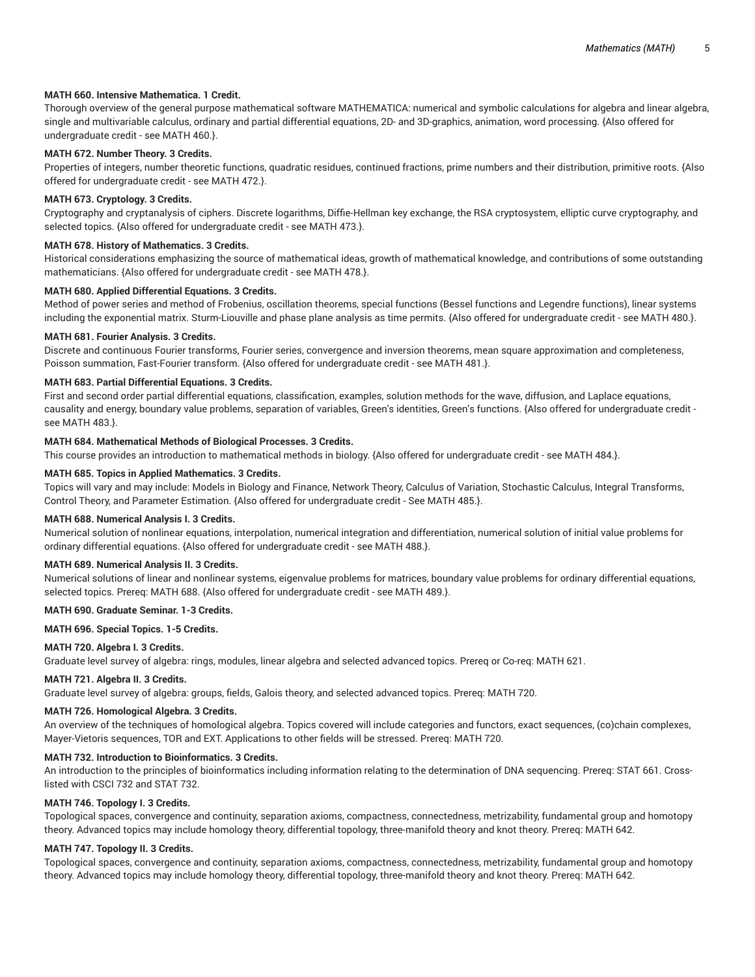# **MATH 660. Intensive Mathematica. 1 Credit.**

Thorough overview of the general purpose mathematical software MATHEMATICA: numerical and symbolic calculations for algebra and linear algebra, single and multivariable calculus, ordinary and partial differential equations, 2D- and 3D-graphics, animation, word processing. {Also offered for undergraduate credit - see MATH 460.}.

### **MATH 672. Number Theory. 3 Credits.**

Properties of integers, number theoretic functions, quadratic residues, continued fractions, prime numbers and their distribution, primitive roots. {Also offered for undergraduate credit - see MATH 472.}.

#### **MATH 673. Cryptology. 3 Credits.**

Cryptography and cryptanalysis of ciphers. Discrete logarithms, Diffie-Hellman key exchange, the RSA cryptosystem, elliptic curve cryptography, and selected topics. {Also offered for undergraduate credit - see MATH 473.}.

# **MATH 678. History of Mathematics. 3 Credits.**

Historical considerations emphasizing the source of mathematical ideas, growth of mathematical knowledge, and contributions of some outstanding mathematicians. {Also offered for undergraduate credit - see MATH 478.}.

## **MATH 680. Applied Differential Equations. 3 Credits.**

Method of power series and method of Frobenius, oscillation theorems, special functions (Bessel functions and Legendre functions), linear systems including the exponential matrix. Sturm-Liouville and phase plane analysis as time permits. {Also offered for undergraduate credit - see MATH 480.}.

#### **MATH 681. Fourier Analysis. 3 Credits.**

Discrete and continuous Fourier transforms, Fourier series, convergence and inversion theorems, mean square approximation and completeness, Poisson summation, Fast-Fourier transform. {Also offered for undergraduate credit - see MATH 481.}.

#### **MATH 683. Partial Differential Equations. 3 Credits.**

First and second order partial differential equations, classification, examples, solution methods for the wave, diffusion, and Laplace equations, causality and energy, boundary value problems, separation of variables, Green's identities, Green's functions. {Also offered for undergraduate credit see MATH 483.}.

#### **MATH 684. Mathematical Methods of Biological Processes. 3 Credits.**

This course provides an introduction to mathematical methods in biology. {Also offered for undergraduate credit - see MATH 484.}.

#### **MATH 685. Topics in Applied Mathematics. 3 Credits.**

Topics will vary and may include: Models in Biology and Finance, Network Theory, Calculus of Variation, Stochastic Calculus, Integral Transforms, Control Theory, and Parameter Estimation. {Also offered for undergraduate credit - See MATH 485.}.

#### **MATH 688. Numerical Analysis I. 3 Credits.**

Numerical solution of nonlinear equations, interpolation, numerical integration and differentiation, numerical solution of initial value problems for ordinary differential equations. {Also offered for undergraduate credit - see MATH 488.}.

#### **MATH 689. Numerical Analysis II. 3 Credits.**

Numerical solutions of linear and nonlinear systems, eigenvalue problems for matrices, boundary value problems for ordinary differential equations, selected topics. Prereq: MATH 688. {Also offered for undergraduate credit - see MATH 489.}.

# **MATH 690. Graduate Seminar. 1-3 Credits.**

**MATH 696. Special Topics. 1-5 Credits.**

#### **MATH 720. Algebra I. 3 Credits.**

Graduate level survey of algebra: rings, modules, linear algebra and selected advanced topics. Prereq or Co-req: MATH 621.

#### **MATH 721. Algebra II. 3 Credits.**

Graduate level survey of algebra: groups, fields, Galois theory, and selected advanced topics. Prereq: MATH 720.

#### **MATH 726. Homological Algebra. 3 Credits.**

An overview of the techniques of homological algebra. Topics covered will include categories and functors, exact sequences, (co)chain complexes, Mayer-Vietoris sequences, TOR and EXT. Applications to other fields will be stressed. Prereq: MATH 720.

## **MATH 732. Introduction to Bioinformatics. 3 Credits.**

An introduction to the principles of bioinformatics including information relating to the determination of DNA sequencing. Prereq: STAT 661. Crosslisted with CSCI 732 and STAT 732.

#### **MATH 746. Topology I. 3 Credits.**

Topological spaces, convergence and continuity, separation axioms, compactness, connectedness, metrizability, fundamental group and homotopy theory. Advanced topics may include homology theory, differential topology, three-manifold theory and knot theory. Prereq: MATH 642.

## **MATH 747. Topology II. 3 Credits.**

Topological spaces, convergence and continuity, separation axioms, compactness, connectedness, metrizability, fundamental group and homotopy theory. Advanced topics may include homology theory, differential topology, three-manifold theory and knot theory. Prereq: MATH 642.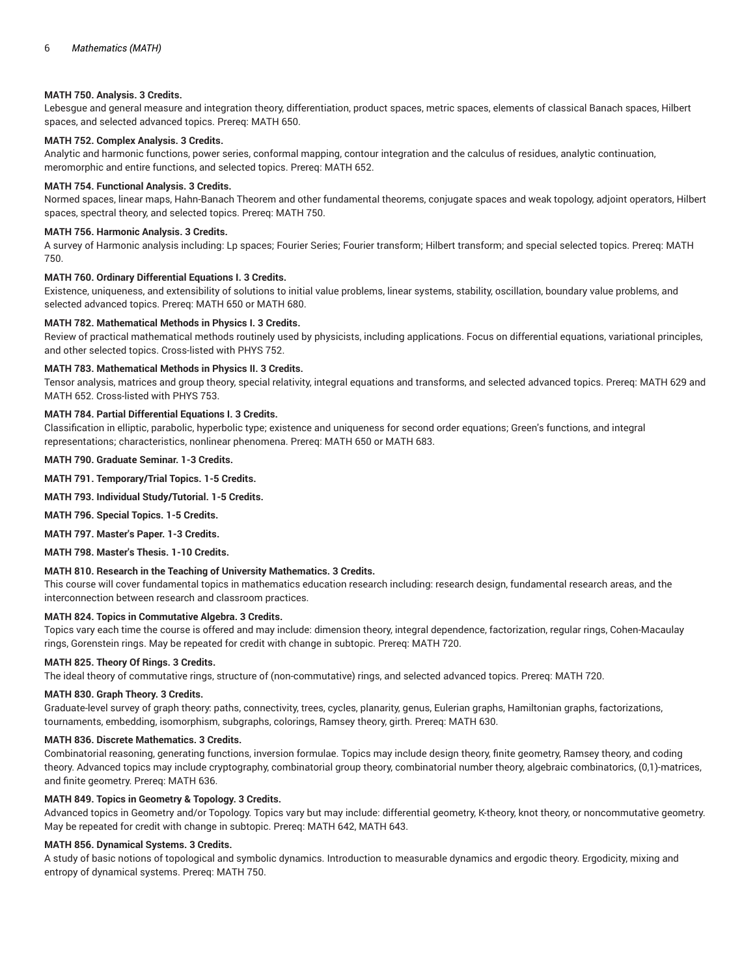# **MATH 750. Analysis. 3 Credits.**

Lebesgue and general measure and integration theory, differentiation, product spaces, metric spaces, elements of classical Banach spaces, Hilbert spaces, and selected advanced topics. Prereq: MATH 650.

# **MATH 752. Complex Analysis. 3 Credits.**

Analytic and harmonic functions, power series, conformal mapping, contour integration and the calculus of residues, analytic continuation, meromorphic and entire functions, and selected topics. Prereq: MATH 652.

## **MATH 754. Functional Analysis. 3 Credits.**

Normed spaces, linear maps, Hahn-Banach Theorem and other fundamental theorems, conjugate spaces and weak topology, adjoint operators, Hilbert spaces, spectral theory, and selected topics. Prereq: MATH 750.

## **MATH 756. Harmonic Analysis. 3 Credits.**

A survey of Harmonic analysis including: Lp spaces; Fourier Series; Fourier transform; Hilbert transform; and special selected topics. Prereq: MATH 750.

## **MATH 760. Ordinary Differential Equations I. 3 Credits.**

Existence, uniqueness, and extensibility of solutions to initial value problems, linear systems, stability, oscillation, boundary value problems, and selected advanced topics. Prereq: MATH 650 or MATH 680.

#### **MATH 782. Mathematical Methods in Physics I. 3 Credits.**

Review of practical mathematical methods routinely used by physicists, including applications. Focus on differential equations, variational principles, and other selected topics. Cross-listed with PHYS 752.

## **MATH 783. Mathematical Methods in Physics II. 3 Credits.**

Tensor analysis, matrices and group theory, special relativity, integral equations and transforms, and selected advanced topics. Prereq: MATH 629 and MATH 652. Cross-listed with PHYS 753.

# **MATH 784. Partial Differential Equations I. 3 Credits.**

Classification in elliptic, parabolic, hyperbolic type; existence and uniqueness for second order equations; Green's functions, and integral representations; characteristics, nonlinear phenomena. Prereq: MATH 650 or MATH 683.

# **MATH 790. Graduate Seminar. 1-3 Credits.**

# **MATH 791. Temporary/Trial Topics. 1-5 Credits.**

### **MATH 793. Individual Study/Tutorial. 1-5 Credits.**

**MATH 796. Special Topics. 1-5 Credits.**

**MATH 797. Master's Paper. 1-3 Credits.**

**MATH 798. Master's Thesis. 1-10 Credits.**

# **MATH 810. Research in the Teaching of University Mathematics. 3 Credits.**

This course will cover fundamental topics in mathematics education research including: research design, fundamental research areas, and the interconnection between research and classroom practices.

#### **MATH 824. Topics in Commutative Algebra. 3 Credits.**

Topics vary each time the course is offered and may include: dimension theory, integral dependence, factorization, regular rings, Cohen-Macaulay rings, Gorenstein rings. May be repeated for credit with change in subtopic. Prereq: MATH 720.

#### **MATH 825. Theory Of Rings. 3 Credits.**

The ideal theory of commutative rings, structure of (non-commutative) rings, and selected advanced topics. Prereq: MATH 720.

#### **MATH 830. Graph Theory. 3 Credits.**

Graduate-level survey of graph theory: paths, connectivity, trees, cycles, planarity, genus, Eulerian graphs, Hamiltonian graphs, factorizations, tournaments, embedding, isomorphism, subgraphs, colorings, Ramsey theory, girth. Prereq: MATH 630.

# **MATH 836. Discrete Mathematics. 3 Credits.**

Combinatorial reasoning, generating functions, inversion formulae. Topics may include design theory, finite geometry, Ramsey theory, and coding theory. Advanced topics may include cryptography, combinatorial group theory, combinatorial number theory, algebraic combinatorics, (0,1)-matrices, and finite geometry. Prereq: MATH 636.

# **MATH 849. Topics in Geometry & Topology. 3 Credits.**

Advanced topics in Geometry and/or Topology. Topics vary but may include: differential geometry, K-theory, knot theory, or noncommutative geometry. May be repeated for credit with change in subtopic. Prereq: MATH 642, MATH 643.

# **MATH 856. Dynamical Systems. 3 Credits.**

A study of basic notions of topological and symbolic dynamics. Introduction to measurable dynamics and ergodic theory. Ergodicity, mixing and entropy of dynamical systems. Prereq: MATH 750.